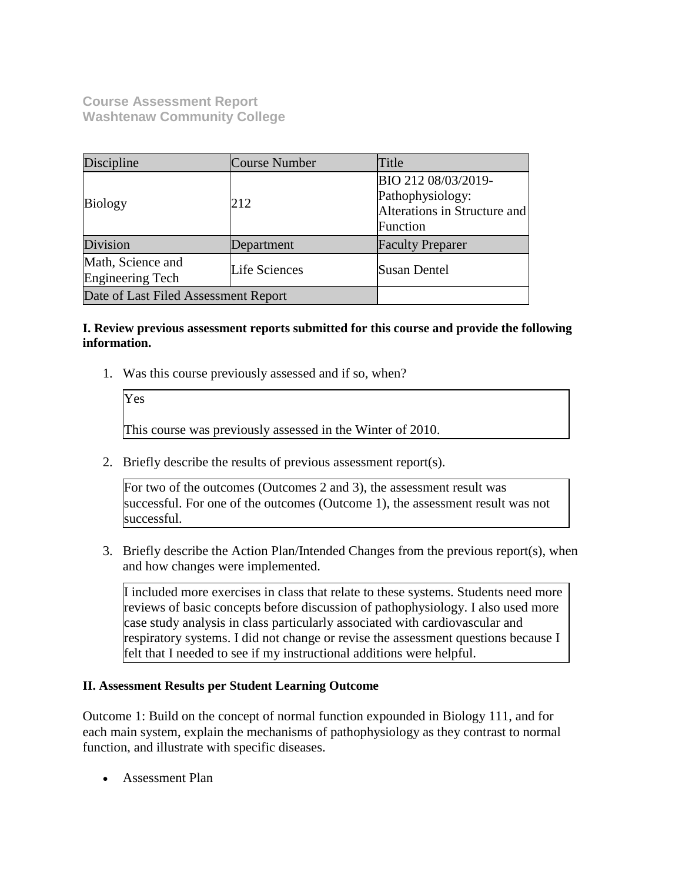**Course Assessment Report Washtenaw Community College**

| Discipline                                             | <b>Course Number</b> | Title                                                                               |  |
|--------------------------------------------------------|----------------------|-------------------------------------------------------------------------------------|--|
| <b>Biology</b>                                         | 212                  | BIO 212 08/03/2019-<br>Pathophysiology:<br>Alterations in Structure and<br>Function |  |
| Division                                               | Department           | <b>Faculty Preparer</b>                                                             |  |
| Math, Science and<br>Life Sciences<br>Engineering Tech |                      | Susan Dentel                                                                        |  |
| Date of Last Filed Assessment Report                   |                      |                                                                                     |  |

## **I. Review previous assessment reports submitted for this course and provide the following information.**

1. Was this course previously assessed and if so, when?

| Yes                                                        |
|------------------------------------------------------------|
| This course was previously assessed in the Winter of 2010. |

2. Briefly describe the results of previous assessment report(s).

For two of the outcomes (Outcomes 2 and 3), the assessment result was successful. For one of the outcomes (Outcome 1), the assessment result was not successful.

3. Briefly describe the Action Plan/Intended Changes from the previous report(s), when and how changes were implemented.

I included more exercises in class that relate to these systems. Students need more reviews of basic concepts before discussion of pathophysiology. I also used more case study analysis in class particularly associated with cardiovascular and respiratory systems. I did not change or revise the assessment questions because I felt that I needed to see if my instructional additions were helpful.

## **II. Assessment Results per Student Learning Outcome**

Outcome 1: Build on the concept of normal function expounded in Biology 111, and for each main system, explain the mechanisms of pathophysiology as they contrast to normal function, and illustrate with specific diseases.

Assessment Plan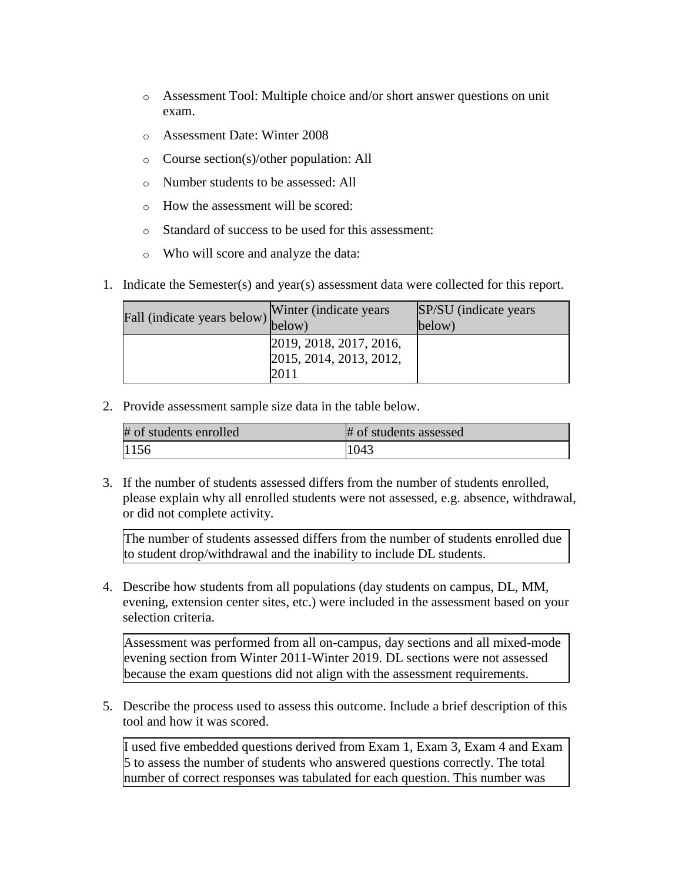- o Assessment Tool: Multiple choice and/or short answer questions on unit exam.
- o Assessment Date: Winter 2008
- o Course section(s)/other population: All
- o Number students to be assessed: All
- o How the assessment will be scored:
- o Standard of success to be used for this assessment:
- o Who will score and analyze the data:
- 1. Indicate the Semester(s) and year(s) assessment data were collected for this report.

| Fall (indicate years below) below) | Winter (indicate years)                                    | SP/SU (indicate years)<br>below) |
|------------------------------------|------------------------------------------------------------|----------------------------------|
|                                    | 2019, 2018, 2017, 2016,<br>2015, 2014, 2013, 2012,<br>2011 |                                  |

2. Provide assessment sample size data in the table below.

| # of students enrolled | # of students assessed |
|------------------------|------------------------|
| 1156                   | 1043                   |

3. If the number of students assessed differs from the number of students enrolled, please explain why all enrolled students were not assessed, e.g. absence, withdrawal, or did not complete activity.

The number of students assessed differs from the number of students enrolled due to student drop/withdrawal and the inability to include DL students.

4. Describe how students from all populations (day students on campus, DL, MM, evening, extension center sites, etc.) were included in the assessment based on your selection criteria.

Assessment was performed from all on-campus, day sections and all mixed-mode evening section from Winter 2011-Winter 2019. DL sections were not assessed because the exam questions did not align with the assessment requirements.

5. Describe the process used to assess this outcome. Include a brief description of this tool and how it was scored.

I used five embedded questions derived from Exam 1, Exam 3, Exam 4 and Exam 5 to assess the number of students who answered questions correctly. The total number of correct responses was tabulated for each question. This number was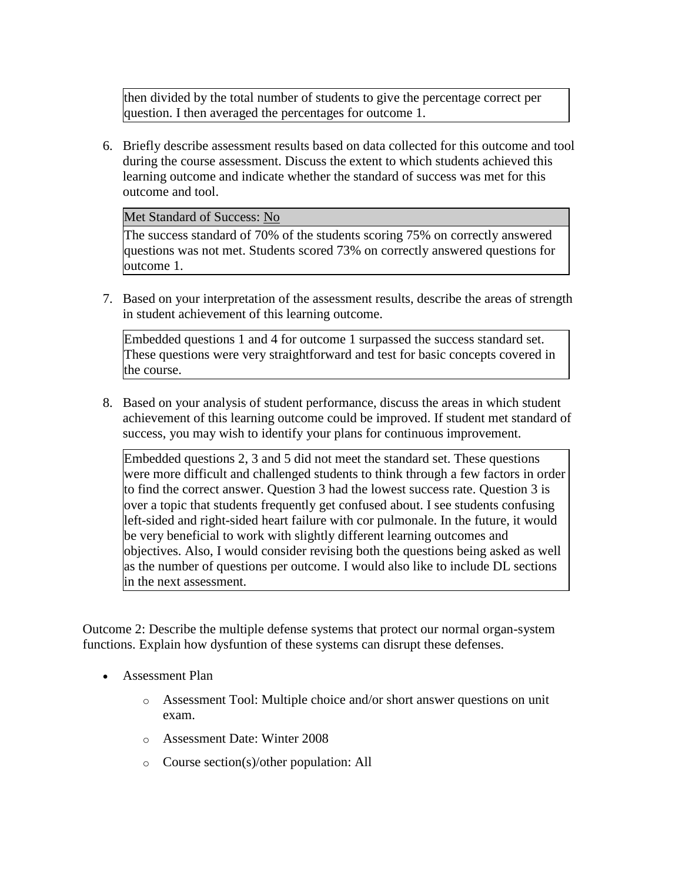then divided by the total number of students to give the percentage correct per question. I then averaged the percentages for outcome 1.

6. Briefly describe assessment results based on data collected for this outcome and tool during the course assessment. Discuss the extent to which students achieved this learning outcome and indicate whether the standard of success was met for this outcome and tool.

Met Standard of Success: No

The success standard of 70% of the students scoring 75% on correctly answered questions was not met. Students scored 73% on correctly answered questions for outcome 1.

7. Based on your interpretation of the assessment results, describe the areas of strength in student achievement of this learning outcome.

Embedded questions 1 and 4 for outcome 1 surpassed the success standard set. These questions were very straightforward and test for basic concepts covered in the course.

8. Based on your analysis of student performance, discuss the areas in which student achievement of this learning outcome could be improved. If student met standard of success, you may wish to identify your plans for continuous improvement.

Embedded questions 2, 3 and 5 did not meet the standard set. These questions were more difficult and challenged students to think through a few factors in order to find the correct answer. Question 3 had the lowest success rate. Question 3 is over a topic that students frequently get confused about. I see students confusing left-sided and right-sided heart failure with cor pulmonale. In the future, it would be very beneficial to work with slightly different learning outcomes and objectives. Also, I would consider revising both the questions being asked as well as the number of questions per outcome. I would also like to include DL sections in the next assessment.

Outcome 2: Describe the multiple defense systems that protect our normal organ-system functions. Explain how dysfuntion of these systems can disrupt these defenses.

- Assessment Plan
	- o Assessment Tool: Multiple choice and/or short answer questions on unit exam.
	- o Assessment Date: Winter 2008
	- o Course section(s)/other population: All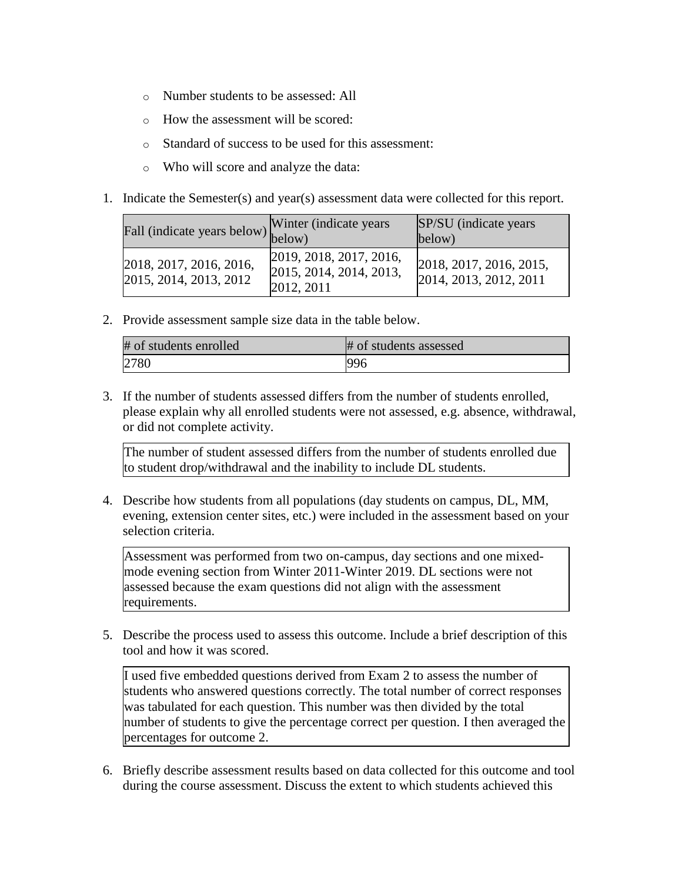- o Number students to be assessed: All
- o How the assessment will be scored:
- o Standard of success to be used for this assessment:
- o Who will score and analyze the data:
- 1. Indicate the Semester(s) and year(s) assessment data were collected for this report.

| Fall (indicate years below) below)                | Winter (indicate years)                                          | SP/SU (indicate years)<br>below)                  |
|---------------------------------------------------|------------------------------------------------------------------|---------------------------------------------------|
| 2018, 2017, 2016, 2016,<br>2015, 2014, 2013, 2012 | 2019, 2018, 2017, 2016,<br>2015, 2014, 2014, 2013,<br>2012, 2011 | 2018, 2017, 2016, 2015,<br>2014, 2013, 2012, 2011 |

2. Provide assessment sample size data in the table below.

| # of students enrolled | # of students assessed |
|------------------------|------------------------|
| 2780                   | 996                    |

3. If the number of students assessed differs from the number of students enrolled, please explain why all enrolled students were not assessed, e.g. absence, withdrawal, or did not complete activity.

The number of student assessed differs from the number of students enrolled due to student drop/withdrawal and the inability to include DL students.

4. Describe how students from all populations (day students on campus, DL, MM, evening, extension center sites, etc.) were included in the assessment based on your selection criteria.

Assessment was performed from two on-campus, day sections and one mixedmode evening section from Winter 2011-Winter 2019. DL sections were not assessed because the exam questions did not align with the assessment requirements.

5. Describe the process used to assess this outcome. Include a brief description of this tool and how it was scored.

I used five embedded questions derived from Exam 2 to assess the number of students who answered questions correctly. The total number of correct responses was tabulated for each question. This number was then divided by the total number of students to give the percentage correct per question. I then averaged the percentages for outcome 2.

6. Briefly describe assessment results based on data collected for this outcome and tool during the course assessment. Discuss the extent to which students achieved this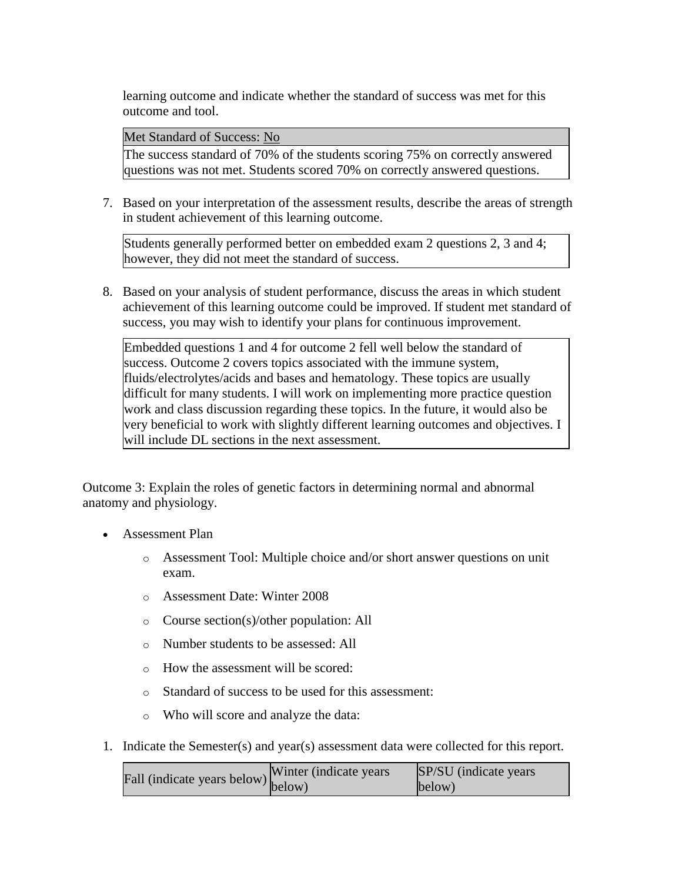learning outcome and indicate whether the standard of success was met for this outcome and tool.

Met Standard of Success: No

The success standard of 70% of the students scoring 75% on correctly answered questions was not met. Students scored 70% on correctly answered questions.

7. Based on your interpretation of the assessment results, describe the areas of strength in student achievement of this learning outcome.

Students generally performed better on embedded exam 2 questions 2, 3 and 4; however, they did not meet the standard of success.

8. Based on your analysis of student performance, discuss the areas in which student achievement of this learning outcome could be improved. If student met standard of success, you may wish to identify your plans for continuous improvement.

Embedded questions 1 and 4 for outcome 2 fell well below the standard of success. Outcome 2 covers topics associated with the immune system, fluids/electrolytes/acids and bases and hematology. These topics are usually difficult for many students. I will work on implementing more practice question work and class discussion regarding these topics. In the future, it would also be very beneficial to work with slightly different learning outcomes and objectives. I will include DL sections in the next assessment.

Outcome 3: Explain the roles of genetic factors in determining normal and abnormal anatomy and physiology.

- Assessment Plan
	- o Assessment Tool: Multiple choice and/or short answer questions on unit exam.
	- o Assessment Date: Winter 2008
	- o Course section(s)/other population: All
	- o Number students to be assessed: All
	- o How the assessment will be scored:
	- o Standard of success to be used for this assessment:
	- o Who will score and analyze the data:
- 1. Indicate the Semester(s) and year(s) assessment data were collected for this report.

| $\text{undicate years below}$ Winter (indicate years | SP/SU (indicate years) |
|------------------------------------------------------|------------------------|
|                                                      | below)                 |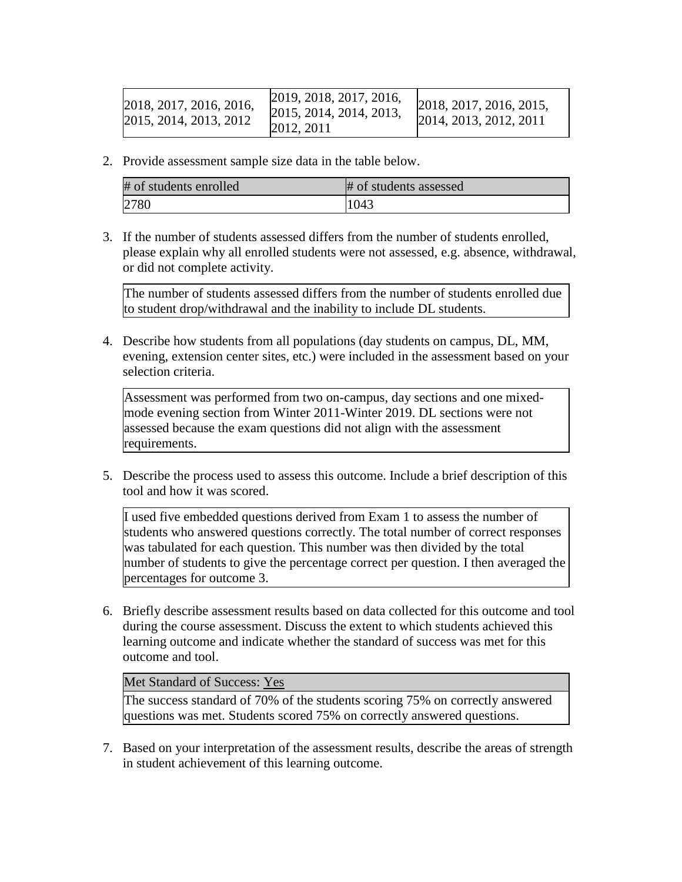| 2018, 2017, 2016, 2016,  | 2019, 2018, 2017, 2016,  | 2018, 2017, 2016, 2015, |
|--------------------------|--------------------------|-------------------------|
| [2015, 2014, 2013, 2012] | [2015, 2014, 2014, 2013, | 2014, 2013, 2012, 2011  |
|                          | 2012, 2011               |                         |

2. Provide assessment sample size data in the table below.

| # of students enrolled | # of students assessed |
|------------------------|------------------------|
| 2780                   | 1043                   |

3. If the number of students assessed differs from the number of students enrolled, please explain why all enrolled students were not assessed, e.g. absence, withdrawal, or did not complete activity.

The number of students assessed differs from the number of students enrolled due to student drop/withdrawal and the inability to include DL students.

4. Describe how students from all populations (day students on campus, DL, MM, evening, extension center sites, etc.) were included in the assessment based on your selection criteria.

Assessment was performed from two on-campus, day sections and one mixedmode evening section from Winter 2011-Winter 2019. DL sections were not assessed because the exam questions did not align with the assessment requirements.

5. Describe the process used to assess this outcome. Include a brief description of this tool and how it was scored.

I used five embedded questions derived from Exam 1 to assess the number of students who answered questions correctly. The total number of correct responses was tabulated for each question. This number was then divided by the total number of students to give the percentage correct per question. I then averaged the percentages for outcome 3.

6. Briefly describe assessment results based on data collected for this outcome and tool during the course assessment. Discuss the extent to which students achieved this learning outcome and indicate whether the standard of success was met for this outcome and tool.

## Met Standard of Success: Yes

The success standard of 70% of the students scoring 75% on correctly answered questions was met. Students scored 75% on correctly answered questions.

7. Based on your interpretation of the assessment results, describe the areas of strength in student achievement of this learning outcome.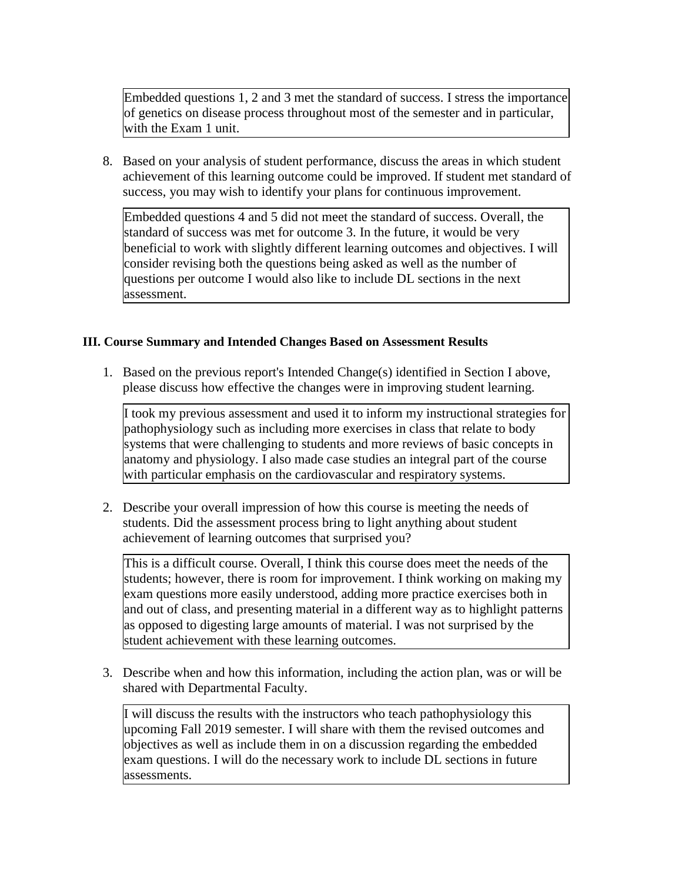Embedded questions 1, 2 and 3 met the standard of success. I stress the importance of genetics on disease process throughout most of the semester and in particular, with the Exam 1 unit.

8. Based on your analysis of student performance, discuss the areas in which student achievement of this learning outcome could be improved. If student met standard of success, you may wish to identify your plans for continuous improvement.

Embedded questions 4 and 5 did not meet the standard of success. Overall, the standard of success was met for outcome 3. In the future, it would be very beneficial to work with slightly different learning outcomes and objectives. I will consider revising both the questions being asked as well as the number of questions per outcome I would also like to include DL sections in the next assessment.

## **III. Course Summary and Intended Changes Based on Assessment Results**

1. Based on the previous report's Intended Change(s) identified in Section I above, please discuss how effective the changes were in improving student learning.

I took my previous assessment and used it to inform my instructional strategies for pathophysiology such as including more exercises in class that relate to body systems that were challenging to students and more reviews of basic concepts in anatomy and physiology. I also made case studies an integral part of the course with particular emphasis on the cardiovascular and respiratory systems.

2. Describe your overall impression of how this course is meeting the needs of students. Did the assessment process bring to light anything about student achievement of learning outcomes that surprised you?

This is a difficult course. Overall, I think this course does meet the needs of the students; however, there is room for improvement. I think working on making my exam questions more easily understood, adding more practice exercises both in and out of class, and presenting material in a different way as to highlight patterns as opposed to digesting large amounts of material. I was not surprised by the student achievement with these learning outcomes.

3. Describe when and how this information, including the action plan, was or will be shared with Departmental Faculty.

I will discuss the results with the instructors who teach pathophysiology this upcoming Fall 2019 semester. I will share with them the revised outcomes and objectives as well as include them in on a discussion regarding the embedded exam questions. I will do the necessary work to include DL sections in future assessments.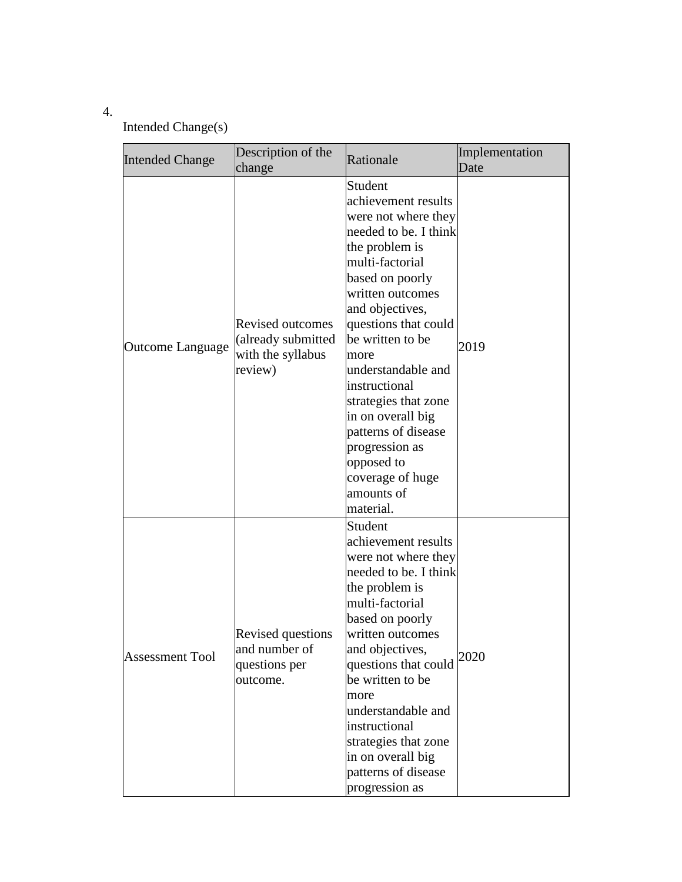# 4.

# Intended Change(s)

| <b>Intended Change</b> | Description of the<br>change                                                  | Rationale                                                                                                                                                                                                                                                                                                                                                                                                                   | Implementation<br>Date |
|------------------------|-------------------------------------------------------------------------------|-----------------------------------------------------------------------------------------------------------------------------------------------------------------------------------------------------------------------------------------------------------------------------------------------------------------------------------------------------------------------------------------------------------------------------|------------------------|
| Outcome Language       | <b>Revised outcomes</b><br>(already submitted<br>with the syllabus<br>review) | Student<br>achievement results<br>were not where they<br>needed to be. I think<br>the problem is<br>multi-factorial<br>based on poorly<br>written outcomes<br>and objectives,<br>questions that could<br>be written to be<br>more<br>understandable and<br>instructional<br>strategies that zone<br>in on overall big<br>patterns of disease<br>progression as<br>opposed to<br>coverage of huge<br>amounts of<br>material. | 2019                   |
| <b>Assessment Tool</b> | Revised questions<br>and number of<br>questions per<br>outcome.               | Student<br>achievement results<br>were not where they<br>needed to be. I think<br>the problem is<br>multi-factorial<br>based on poorly<br>written outcomes<br>and objectives,<br>questions that could<br>be written to be<br>more<br>understandable and<br>instructional<br>strategies that zone<br>in on overall big<br>patterns of disease<br>progression as                                                              | 2020                   |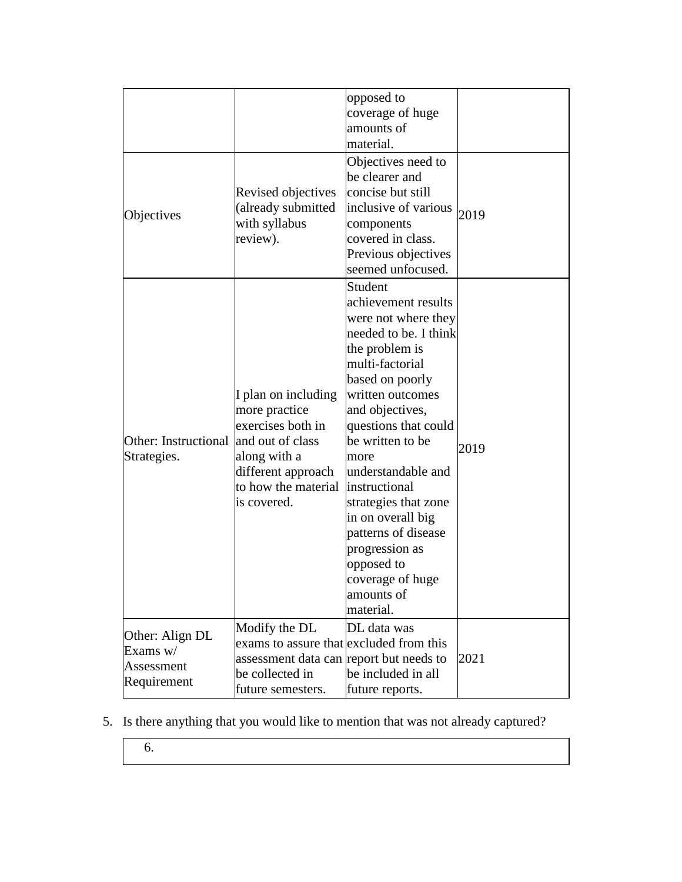|                                                          |                                                                                                                                                           | opposed to<br>coverage of huge<br>amounts of<br>material.                                                                                                                                                                                                                                                                                                                                                                   |      |
|----------------------------------------------------------|-----------------------------------------------------------------------------------------------------------------------------------------------------------|-----------------------------------------------------------------------------------------------------------------------------------------------------------------------------------------------------------------------------------------------------------------------------------------------------------------------------------------------------------------------------------------------------------------------------|------|
| Objectives                                               | Revised objectives<br>(already submitted<br>with syllabus<br>review).                                                                                     | Objectives need to<br>be clearer and<br>concise but still<br>inclusive of various<br>components<br>covered in class.<br>Previous objectives<br>seemed unfocused.                                                                                                                                                                                                                                                            | 2019 |
| Other: Instructional<br>Strategies.                      | I plan on including<br>more practice<br>exercises both in<br>and out of class<br>along with a<br>different approach<br>to how the material<br>is covered. | Student<br>achievement results<br>were not where they<br>needed to be. I think<br>the problem is<br>multi-factorial<br>based on poorly<br>written outcomes<br>and objectives,<br>questions that could<br>be written to be<br>more<br>understandable and<br>instructional<br>strategies that zone<br>in on overall big<br>patterns of disease<br>progression as<br>opposed to<br>coverage of huge<br>amounts of<br>material. | 2019 |
| Other: Align DL<br>Exams w/<br>Assessment<br>Requirement | Modify the DL<br>exams to assure that excluded from this<br>assessment data can report but needs to<br>be collected in<br>future semesters.               | DL data was<br>be included in all<br>future reports.                                                                                                                                                                                                                                                                                                                                                                        | 2021 |

- 5. Is there anything that you would like to mention that was not already captured?
	- 6.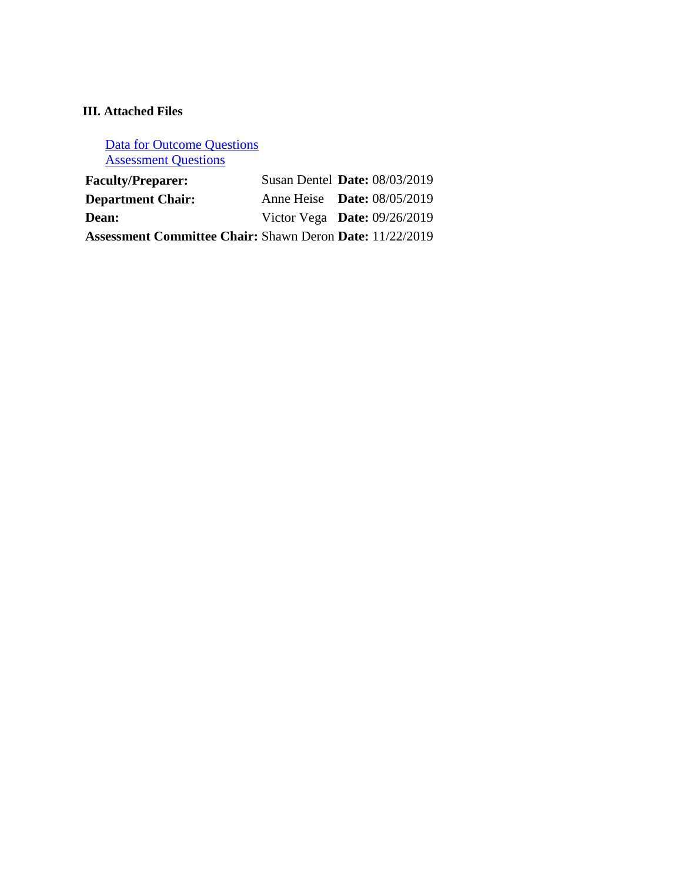# **III. Attached Files**

[Data for Outcome Questions](documents/Bio%20212_ASSESS_2011-2019.xlsx) [Assessment Questions](documents/Bio212_2019%20Assessment%20Questions.pdf)

| <b>Faculty/Preparer:</b>                                        | Susan Dentel <b>Date:</b> 08/03/2019 |  |
|-----------------------------------------------------------------|--------------------------------------|--|
| <b>Department Chair:</b>                                        | Anne Heise <b>Date:</b> 08/05/2019   |  |
| Dean:                                                           | Victor Vega Date: $09/26/2019$       |  |
| <b>Assessment Committee Chair: Shawn Deron Date: 11/22/2019</b> |                                      |  |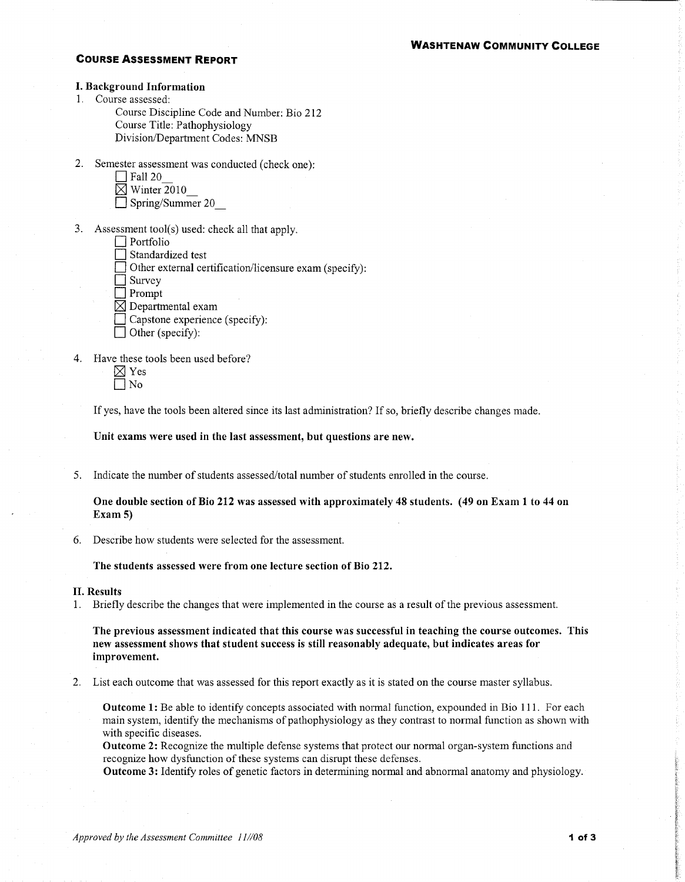### **WASHTENAW COMMUNITY COLLEGE**

#### **COURSE ASSESSMENT REPORT**

#### **I. Background Information**

1. Course assessed:

Course Discipline Code and Number: Bio 212 Course Title: Pathophysiology Division/Department Codes: MNSB

- 2. Semester assessment was conducted (check one):
	- $\Box$  Fall 20  $\overline{\boxtimes}$  Winter 2010
	- $\Box$  Spring/Summer 20
- 3. Assessment tool(s) used: check all that apply.
	- $\Box$  Portfolio
	- Standardized test
	- Other external certification/licensure exam (specify):
	- $\Box$  Survey
	- $\Box$  Prompt
	- $\boxtimes$  Departmental exam
	- Capstone experience (specify):
	- Other (specify):
- 4. Have these tools been used before?
	- $\boxtimes$  Yes  $\Box$  No

If yes, have the tools been altered since its last administration? If so, briefly describe changes made.

Unit exams were used in the last assessment, but questions are new.

5. Indicate the number of students assessed/total number of students enrolled in the course.

One double section of Bio 212 was assessed with approximately 48 students. (49 on Exam 1 to 44 on Exam  $5$ 

6. Describe how students were selected for the assessment.

The students assessed were from one lecture section of Bio 212.

#### **II.** Results

1. Briefly describe the changes that were implemented in the course as a result of the previous assessment.

The previous assessment indicated that this course was successful in teaching the course outcomes. This new assessment shows that student success is still reasonably adequate, but indicates areas for improvement.

2. List each outcome that was assessed for this report exactly as it is stated on the course master syllabus.

**Outcome 1:** Be able to identify concepts associated with normal function, expounded in Bio 111. For each main system, identify the mechanisms of pathophysiology as they contrast to normal function as shown with with specific diseases.

**Outcome 2:** Recognize the multiple defense systems that protect our normal organ-system functions and recognize how dysfunction of these systems can disrupt these defenses.

Outcome 3: Identify roles of genetic factors in determining normal and abnormal anatomy and physiology.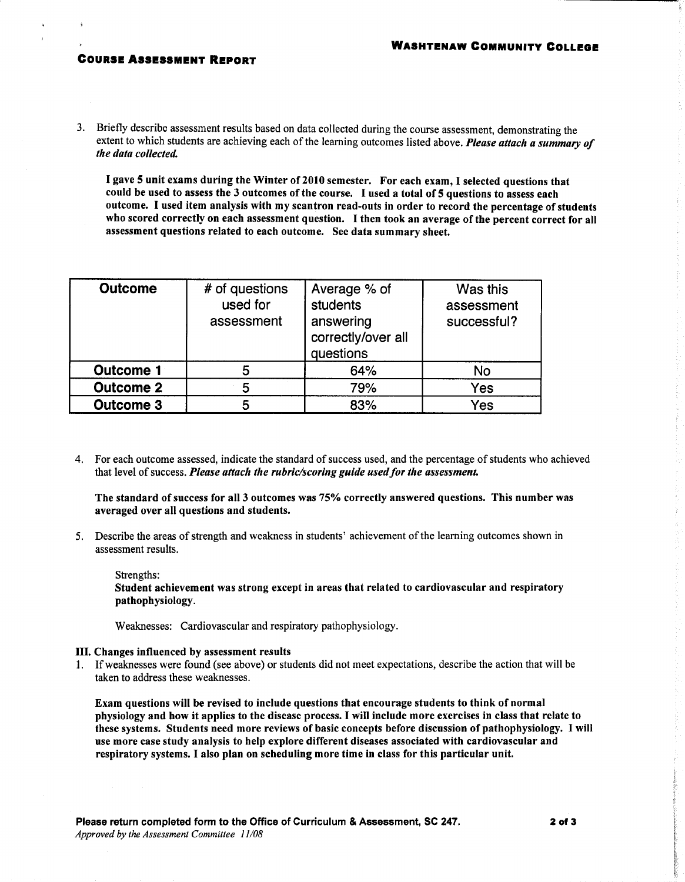#### **COURSE ASSESSMENT REPORT**

3. Briefly describe assessment results based on data collected during the course assessment, demonstrating the extent to which students are achieving each of the learning outcomes listed above. Please attach a summary of the data collected.

I gave 5 unit exams during the Winter of 2010 semester. For each exam, I selected questions that could be used to assess the 3 outcomes of the course. I used a total of 5 questions to assess each outcome. I used item analysis with my scantron read-outs in order to record the percentage of students who scored correctly on each assessment question. I then took an average of the percent correct for all assessment questions related to each outcome. See data summary sheet.

| <b>Outcome</b>   | # of questions<br>used for<br>assessment | Average % of<br>students<br>answering<br>correctly/over all<br>questions | Was this<br>assessment<br>successful? |
|------------------|------------------------------------------|--------------------------------------------------------------------------|---------------------------------------|
| <b>Outcome 1</b> | 5                                        | 64%                                                                      | No                                    |
| <b>Outcome 2</b> | 5                                        | 79%                                                                      | Yes                                   |
| <b>Outcome 3</b> | 5                                        | 83%                                                                      | Yes                                   |

4. For each outcome assessed, indicate the standard of success used, and the percentage of students who achieved that level of success. Please attach the rubric/scoring guide used for the assessment.

The standard of success for all 3 outcomes was 75% correctly answered questions. This number was averaged over all questions and students.

5. Describe the areas of strength and weakness in students' achievement of the learning outcomes shown in assessment results.

Strengths:

Student achievement was strong except in areas that related to cardiovascular and respiratory pathophysiology.

Weaknesses: Cardiovascular and respiratory pathophysiology.

#### III. Changes influenced by assessment results

1. If weaknesses were found (see above) or students did not meet expectations, describe the action that will be taken to address these weaknesses.

Exam questions will be revised to include questions that encourage students to think of normal physiology and how it applies to the disease process. I will include more exercises in class that relate to these systems. Students need more reviews of basic concepts before discussion of pathophysiology. I will use more case study analysis to help explore different diseases associated with cardiovascular and respiratory systems. I also plan on scheduling more time in class for this particular unit.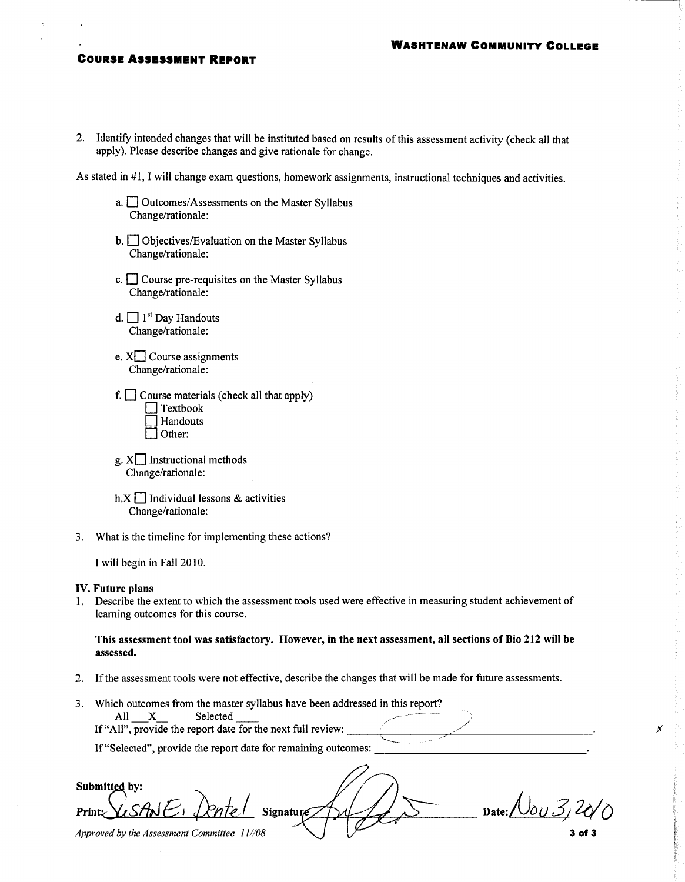#### **WASHTENAW COMMUNITY COLLEGE**

#### **COURSE ASSESSMENT REPORT**

2. Identify intended changes that will be instituted based on results of this assessment activity (check all that apply). Please describe changes and give rationale for change.

As stated in #1, I will change exam questions, homework assignments, instructional techniques and activities.

- a. <u>Outcomes</u>/Assessments on the Master Syllabus Change/rationale:
- $b.$  Objectives/Evaluation on the Master Syllabus Change/rationale:
- c.  $\Box$  Course pre-requisites on the Master Syllabus Change/rationale:
- d.  $\Box$  1<sup>st</sup> Day Handouts Change/rationale:
- e.  $X\Box$  Course assignments Change/rationale:
- f.  $\Box$  Course materials (check all that apply)  $\Box$  Textbook Handouts  $\Box$  Other:
- $g. X$  Instructional methods Change/rationale:
- h. $X \square$  Individual lessons & activities Change/rationale:
- 3. What is the timeline for implementing these actions?

I will begin in Fall 2010.

#### IV. Future plans

1. Describe the extent to which the assessment tools used were effective in measuring student achievement of learning outcomes for this course.

This assessment tool was satisfactory. However, in the next assessment, all sections of Bio 212 will be assessed.

- 2. If the assessment tools were not effective, describe the changes that will be made for future assessments.
- 3. Which outcomes from the master syllabus have been addressed in this report? All X Selected

If "All", provide the report date for the next full review:

If "Selected", provide the report date for remaining outcomes:

Submitted by: Date:  $\sqrt{\delta u \mathcal{Z}}$ Signatur **Print:** Approved by the Assessment Committee 11//08 3 of 3